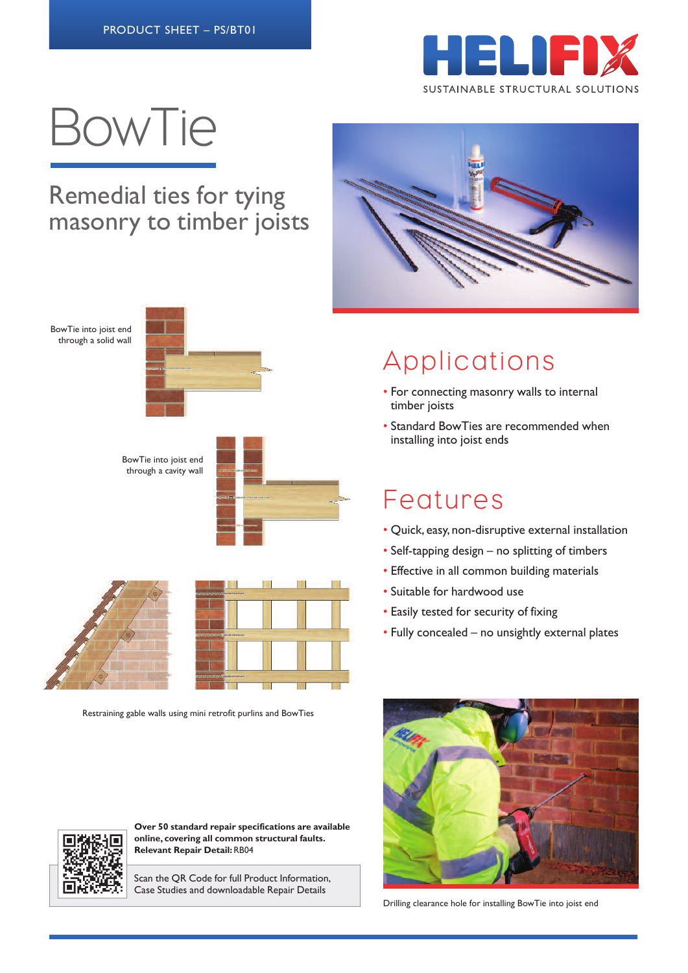

# BowTie

#### Remedial ties for tying masonry to timber joists

BowTie into joist end through a solid wall



BowTie into joist end through a cavity wall







Restraining gable walls using mini retrofit purlins and BowTies



## Applications

- For connecting masonry walls to internal timber joists
- Standard BowTies are recommended when installing into joist ends

### Features

- Quick, easy, non-disruptive external installation
- Self-tapping design no splitting of timbers
- Effective in all common building materials
- Suitable for hardwood use
- Easily tested for security of fixing
- Fully concealed no unsightly external plates







**Over 50 standard repair specifications are available online, covering all common structural faults. Relevant Repair Detail:**RB04

Scan the QR Code for full Product Information, Case Studies and downloadable Repair Details